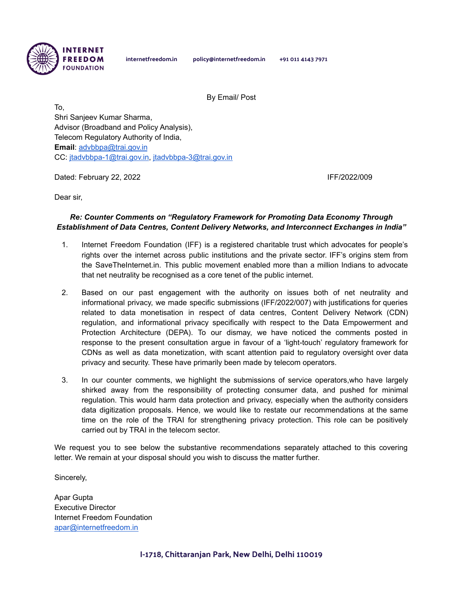

internetfreedom.in policy@internetfreedom.in +91 011 4143 7971

By Email/ Post

To, Shri Sanjeev Kumar Sharma, Advisor (Broadband and Policy Analysis), Telecom Regulatory Authority of India, **Email**: [advbbpa@trai.gov.in](mailto:advbbpa@trai.gov.in) CC: [jtadvbbpa-1@trai.gov.in,](mailto:jtadvbbpa-1@trai.gov.in) [jtadvbbpa-3@trai.gov.in](mailto:jtadvbbpa-3@trai.gov.in)

Dated: February 22, 2022 **IFF/2022/009** 

Dear sir,

#### *Re: Counter Comments on "Regulatory Framework for Promoting Data Economy Through Establishment of Data Centres, Content Delivery Networks, and Interconnect Exchanges in India"*

- 1. Internet Freedom Foundation (IFF) is a registered charitable trust which advocates for people's rights over the internet across public institutions and the private sector. IFF's origins stem from the SaveTheInternet.in. This public movement enabled more than a million Indians to advocate that net neutrality be recognised as a core tenet of the public internet.
- 2. Based on our past engagement with the authority on issues both of net neutrality and informational privacy, we made specific submissions (IFF/2022/007) with justifications for queries related to data monetisation in respect of data centres, Content Delivery Network (CDN) regulation, and informational privacy specifically with respect to the Data Empowerment and Protection Architecture (DEPA). To our dismay, we have noticed the comments posted in response to the present consultation argue in favour of a 'light-touch' regulatory framework for CDNs as well as data monetization, with scant attention paid to regulatory oversight over data privacy and security. These have primarily been made by telecom operators.
- 3. In our counter comments, we highlight the submissions of service operators,who have largely shirked away from the responsibility of protecting consumer data, and pushed for minimal regulation. This would harm data protection and privacy, especially when the authority considers data digitization proposals. Hence, we would like to restate our recommendations at the same time on the role of the TRAI for strengthening privacy protection. This role can be positively carried out by TRAI in the telecom sector.

We request you to see below the substantive recommendations separately attached to this covering letter. We remain at your disposal should you wish to discuss the matter further.

Sincerely,

Apar Gupta Executive Director Internet Freedom Foundation [apar@internetfreedom.in](mailto:apar@internetfreedom.in)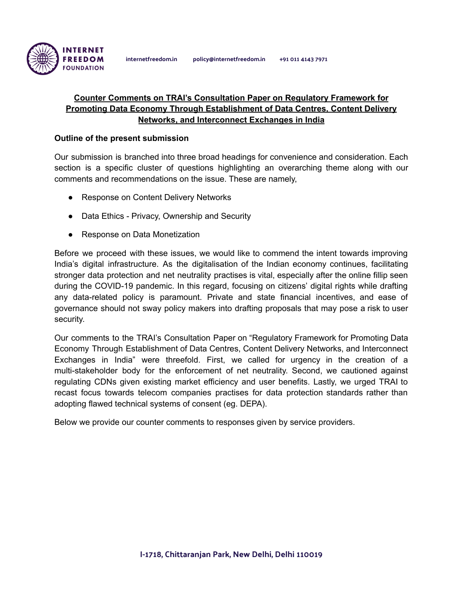

# **Counter Comments on TRAI's Consultation Paper on Regulatory Framework for Promoting Data Economy Through Establishment of Data Centres, Content Delivery Networks, and Interconnect Exchanges in India**

### **Outline of the present submission**

Our submission is branched into three broad headings for convenience and consideration. Each section is a specific cluster of questions highlighting an overarching theme along with our comments and recommendations on the issue. These are namely,

- Response on Content Delivery Networks
- Data Ethics Privacy, Ownership and Security
- Response on Data Monetization

Before we proceed with these issues, we would like to commend the intent towards improving India's digital infrastructure. As the digitalisation of the Indian economy continues, facilitating stronger data protection and net neutrality practises is vital, especially after the online fillip seen during the COVID-19 pandemic. In this regard, focusing on citizens' digital rights while drafting any data-related policy is paramount. Private and state financial incentives, and ease of governance should not sway policy makers into drafting proposals that may pose a risk to user security.

Our comments to the TRAI's Consultation Paper on "Regulatory Framework for Promoting Data Economy Through Establishment of Data Centres, Content Delivery Networks, and Interconnect Exchanges in India" were threefold. First, we called for urgency in the creation of a multi-stakeholder body for the enforcement of net neutrality. Second, we cautioned against regulating CDNs given existing market efficiency and user benefits. Lastly, we urged TRAI to recast focus towards telecom companies practises for data protection standards rather than adopting flawed technical systems of consent (eg. DEPA).

Below we provide our counter comments to responses given by service providers.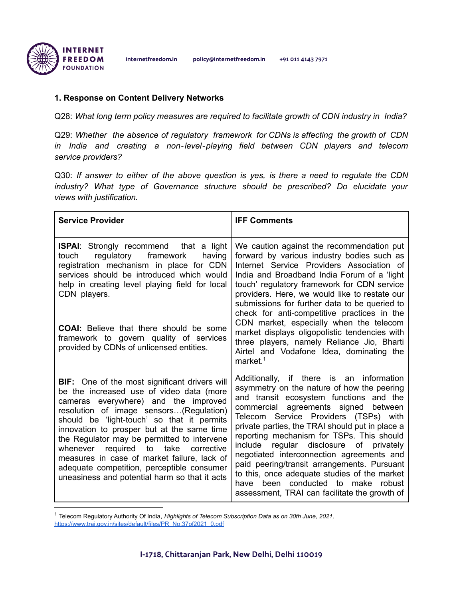

### **1. Response on Content Delivery Networks**

Q28: *What long term policy measures are required to facilitate growth of CDN industry in India?*

Q29: *Whether the absence of regulatory framework for CDNs is affecting the growth of CDN in India and creating a non*‐*level*‐*playing field between CDN players and telecom service providers?*

Q30: *If answer to either of the above question is yes, is there a need to regulate the CDN industry? What type of Governance structure should be prescribed? Do elucidate your views with justification.*

| <b>Service Provider</b>                                                                                                                                                                                                                                                                                                                                                                                                                                                                                              | <b>IFF Comments</b>                                                                                                                                                                                                                                                                                                                                                                                                                                                                                                                                                                                 |
|----------------------------------------------------------------------------------------------------------------------------------------------------------------------------------------------------------------------------------------------------------------------------------------------------------------------------------------------------------------------------------------------------------------------------------------------------------------------------------------------------------------------|-----------------------------------------------------------------------------------------------------------------------------------------------------------------------------------------------------------------------------------------------------------------------------------------------------------------------------------------------------------------------------------------------------------------------------------------------------------------------------------------------------------------------------------------------------------------------------------------------------|
| <b>ISPAI:</b> Strongly recommend that a light<br>regulatory framework<br>having<br>touch<br>registration mechanism in place for CDN<br>services should be introduced which would<br>help in creating level playing field for local<br>CDN players.<br><b>COAI:</b> Believe that there should be some<br>framework to govern quality of services<br>provided by CDNs of unlicensed entities.                                                                                                                          | We caution against the recommendation put<br>forward by various industry bodies such as<br>Internet Service Providers Association of<br>India and Broadband India Forum of a 'light<br>touch' regulatory framework for CDN service<br>providers. Here, we would like to restate our<br>submissions for further data to be queried to<br>check for anti-competitive practices in the<br>CDN market, especially when the telecom<br>market displays oligopolistic tendencies with<br>three players, namely Reliance Jio, Bharti<br>Airtel and Vodafone Idea, dominating the<br>market. $1$            |
| <b>BIF:</b> One of the most significant drivers will<br>be the increased use of video data (more<br>cameras everywhere) and the improved<br>resolution of image sensors(Regulation)<br>should be 'light-touch' so that it permits<br>innovation to prosper but at the same time<br>the Regulator may be permitted to intervene<br>whenever required to take corrective<br>measures in case of market failure, lack of<br>adequate competition, perceptible consumer<br>uneasiness and potential harm so that it acts | Additionally, if there is an information<br>asymmetry on the nature of how the peering<br>and transit ecosystem functions and the<br>commercial agreements signed between<br>Telecom Service Providers (TSPs) with<br>private parties, the TRAI should put in place a<br>reporting mechanism for TSPs. This should<br>include regular disclosure of privately<br>negotiated interconnection agreements and<br>paid peering/transit arrangements. Pursuant<br>to this, once adequate studies of the market<br>been conducted to make robust<br>have<br>assessment, TRAI can facilitate the growth of |

<sup>1</sup> Telecom Regulatory Authority Of India, *Highlights of Telecom Subscription Data as on 30th June, 2021,* [https://www.trai.gov.in/sites/default/files/PR\\_No.37of2021\\_0.pdf](https://www.trai.gov.in/sites/default/files/PR_No.37of2021_0.pdf)

I-1718, Chittaranjan Park, New Delhi, Delhi 110019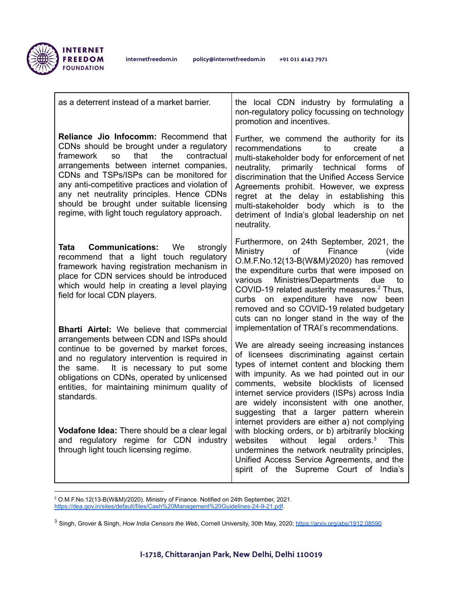

| as a deterrent instead of a market barrier.                                                                                                                                                                                                                                                                                                                                                                                      | the local CDN industry by formulating a<br>non-regulatory policy focussing on technology<br>promotion and incentives.                                                                                                                                                                                                                                                                                                                             |
|----------------------------------------------------------------------------------------------------------------------------------------------------------------------------------------------------------------------------------------------------------------------------------------------------------------------------------------------------------------------------------------------------------------------------------|---------------------------------------------------------------------------------------------------------------------------------------------------------------------------------------------------------------------------------------------------------------------------------------------------------------------------------------------------------------------------------------------------------------------------------------------------|
| Reliance Jio Infocomm: Recommend that<br>CDNs should be brought under a regulatory<br>that<br>the<br>contractual<br>framework<br><b>SO</b><br>arrangements between internet companies,<br>CDNs and TSPs/ISPs can be monitored for<br>any anti-competitive practices and violation of<br>any net neutrality principles. Hence CDNs<br>should be brought under suitable licensing<br>regime, with light touch regulatory approach. | Further, we commend the authority for its<br>recommendations<br>to<br>create<br>a<br>multi-stakeholder body for enforcement of net<br>primarily technical<br>neutrality,<br>forms<br>οf<br>discrimination that the Unified Access Service<br>Agreements prohibit. However, we express<br>regret at the delay in establishing<br>this<br>multi-stakeholder body which is to<br>the<br>detriment of India's global leadership on net<br>neutrality. |
| <b>Tata Communications:</b><br>We<br>strongly<br>recommend that a light touch regulatory<br>framework having registration mechanism in<br>place for CDN services should be introduced<br>which would help in creating a level playing<br>field for local CDN players.                                                                                                                                                            | Furthermore, on 24th September, 2021, the<br>Ministry<br>of<br>Finance<br>(vide<br>O.M.F.No.12(13-B(W&M)/2020) has removed<br>the expenditure curbs that were imposed on<br>Ministries/Departments<br>various<br>due<br>to<br>COVID-19 related austerity measures. <sup>2</sup> Thus,<br>curbs on expenditure have now been<br>removed and so COVID-19 related budgetary<br>cuts can no longer stand in the way of the                            |
| <b>Bharti Airtel:</b> We believe that commercial<br>arrangements between CDN and ISPs should<br>continue to be governed by market forces,<br>and no regulatory intervention is required in<br>the same. It is necessary to put some<br>obligations on CDNs, operated by unlicensed<br>entities, for maintaining minimum quality of<br>standards.                                                                                 | implementation of TRAI's recommendations.<br>We are already seeing increasing instances<br>of licensees discriminating against certain<br>types of internet content and blocking them<br>with impunity. As we had pointed out in our<br>comments, website blocklists of licensed<br>internet service providers (ISPs) across India<br>are widely inconsistent with one another,<br>suggesting that a larger pattern wherein                       |
| Vodafone Idea: There should be a clear legal<br>and regulatory regime for CDN industry<br>through light touch licensing regime.                                                                                                                                                                                                                                                                                                  | internet providers are either a) not complying<br>with blocking orders, or b) arbitrarily blocking<br>legal<br>orders. $3$<br>websites<br>without<br><b>This</b><br>undermines the network neutrality principles,<br>Unified Access Service Agreements, and the<br>spirit of the Supreme Court of India's                                                                                                                                         |

 $^2$  O.M.F.No.12(13-B(W&M)/2020). Ministry of Finance. Notified on 24th September, 2021. <https://dea.gov.in/sites/default/files/Cash%20Management%20Guidelines-24-9-21.pdf>.

<sup>3</sup> Singh, Grover & Singh, *How India Censors the Web*, Cornell University, 30th May, 2020; <https://arxiv.org/abs/1912.08590>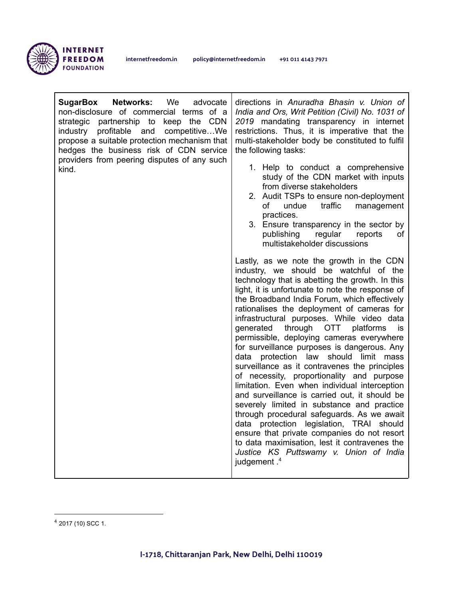

| <b>SugarBox Networks:</b> We<br>advocate<br>non-disclosure of commercial terms of a<br>strategic partnership to keep the CDN<br>industry profitable and competitiveWe<br>propose a suitable protection mechanism that<br>hedges the business risk of CDN service<br>providers from peering disputes of any such<br>kind. | directions in Anuradha Bhasin v. Union of<br>India and Ors, Writ Petition (Civil) No. 1031 of<br>2019 mandating transparency in internet<br>restrictions. Thus, it is imperative that the<br>multi-stakeholder body be constituted to fulfil<br>the following tasks:<br>1. Help to conduct a comprehensive<br>study of the CDN market with inputs<br>from diverse stakeholders<br>2. Audit TSPs to ensure non-deployment<br>traffic<br>management<br>of<br>undue<br>practices.<br>3. Ensure transparency in the sector by<br>publishing<br>regular<br>reports<br>of<br>multistakeholder discussions                                                                                                                                                                                                                                                                                                                                                                                                                                  |
|--------------------------------------------------------------------------------------------------------------------------------------------------------------------------------------------------------------------------------------------------------------------------------------------------------------------------|--------------------------------------------------------------------------------------------------------------------------------------------------------------------------------------------------------------------------------------------------------------------------------------------------------------------------------------------------------------------------------------------------------------------------------------------------------------------------------------------------------------------------------------------------------------------------------------------------------------------------------------------------------------------------------------------------------------------------------------------------------------------------------------------------------------------------------------------------------------------------------------------------------------------------------------------------------------------------------------------------------------------------------------|
|                                                                                                                                                                                                                                                                                                                          | Lastly, as we note the growth in the CDN<br>industry, we should be watchful of the<br>technology that is abetting the growth. In this<br>light, it is unfortunate to note the response of<br>the Broadband India Forum, which effectively<br>rationalises the deployment of cameras for<br>infrastructural purposes. While video data<br>through OTT platforms<br>generated<br>is.<br>permissible, deploying cameras everywhere<br>for surveillance purposes is dangerous. Any<br>data protection law should limit mass<br>surveillance as it contravenes the principles<br>of necessity, proportionality and purpose<br>limitation. Even when individual interception<br>and surveillance is carried out, it should be<br>severely limited in substance and practice<br>through procedural safeguards. As we await<br>data protection legislation, TRAI should<br>ensure that private companies do not resort<br>to data maximisation, lest it contravenes the<br>Justice KS Puttswamy v. Union of India<br>judgement. <sup>4</sup> |

<sup>4</sup> 2017 (10) SCC 1.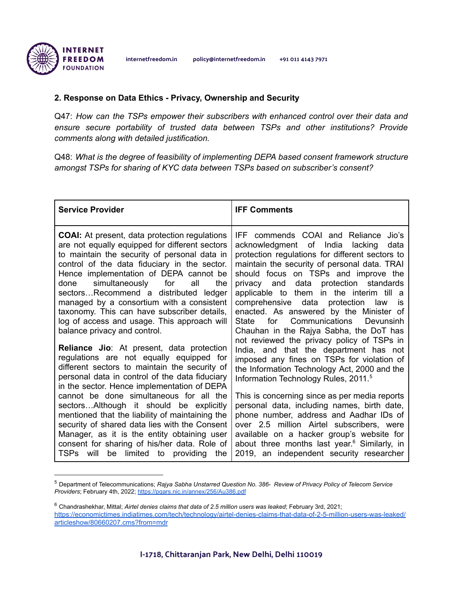# **2. Response on Data Ethics - Privacy, Ownership and Security**

Q47: *How can the TSPs empower their subscribers with enhanced control over their data and ensure secure portability of trusted data between TSPs and other institutions? Provide comments along with detailed justification.*

Q48: *What is the degree of feasibility of implementing DEPA based consent framework structure amongst TSPs for sharing of KYC data between TSPs based on subscriber's consent?*

| <b>Service Provider</b>                                                                                                                                                                                                                                                                                                                                                                                                                                                                                                                                                                                                                                                                                                                                                                                                                                                                                                                                                                                                                                     | <b>IFF Comments</b>                                                                                                                                                                                                                                                                                                                                                                                                                                                                                                                                                                                                                                                                                                                                                                                                                                                                                                                                                                                                                                     |
|-------------------------------------------------------------------------------------------------------------------------------------------------------------------------------------------------------------------------------------------------------------------------------------------------------------------------------------------------------------------------------------------------------------------------------------------------------------------------------------------------------------------------------------------------------------------------------------------------------------------------------------------------------------------------------------------------------------------------------------------------------------------------------------------------------------------------------------------------------------------------------------------------------------------------------------------------------------------------------------------------------------------------------------------------------------|---------------------------------------------------------------------------------------------------------------------------------------------------------------------------------------------------------------------------------------------------------------------------------------------------------------------------------------------------------------------------------------------------------------------------------------------------------------------------------------------------------------------------------------------------------------------------------------------------------------------------------------------------------------------------------------------------------------------------------------------------------------------------------------------------------------------------------------------------------------------------------------------------------------------------------------------------------------------------------------------------------------------------------------------------------|
| <b>COAI:</b> At present, data protection regulations<br>are not equally equipped for different sectors<br>to maintain the security of personal data in<br>control of the data fiduciary in the sector.<br>Hence implementation of DEPA cannot be<br>simultaneously for<br>all<br>the<br>done<br>sectorsRecommend a distributed ledger<br>managed by a consortium with a consistent<br>taxonomy. This can have subscriber details,<br>log of access and usage. This approach will<br>balance privacy and control.<br><b>Reliance Jio:</b> At present, data protection<br>regulations are not equally equipped for<br>different sectors to maintain the security of<br>personal data in control of the data fiduciary<br>in the sector. Hence implementation of DEPA<br>cannot be done simultaneous for all the<br>sectorsAlthough it should be explicitly<br>mentioned that the liability of maintaining the<br>security of shared data lies with the Consent<br>Manager, as it is the entity obtaining user<br>consent for sharing of his/her data. Role of | IFF commends COAI and Reliance Jio's<br>acknowledgment of India<br>lacking<br>data<br>protection regulations for different sectors to<br>maintain the security of personal data. TRAI<br>should focus on TSPs and improve the<br>privacy and data protection standards<br>applicable to them in the interim till a<br>comprehensive data protection<br>law<br>is<br>enacted. As answered by the Minister of<br>for<br>Communications<br>Devunsinh<br><b>State</b><br>Chauhan in the Rajya Sabha, the DoT has<br>not reviewed the privacy policy of TSPs in<br>India, and that the department has not<br>imposed any fines on TSPs for violation of<br>the Information Technology Act, 2000 and the<br>Information Technology Rules, 2011. <sup>5</sup><br>This is concerning since as per media reports<br>personal data, including names, birth date,<br>phone number, address and Aadhar IDs of<br>over 2.5 million Airtel subscribers, were<br>available on a hacker group's website for<br>about three months last year. <sup>6</sup> Similarly, in |
| limited to providing<br>TSPs will be<br>the                                                                                                                                                                                                                                                                                                                                                                                                                                                                                                                                                                                                                                                                                                                                                                                                                                                                                                                                                                                                                 | 2019, an independent security researcher                                                                                                                                                                                                                                                                                                                                                                                                                                                                                                                                                                                                                                                                                                                                                                                                                                                                                                                                                                                                                |

<sup>5</sup> Department of Telecommunications; *Rajya Sabha Unstarred Question No. 386- Review of Privacy Policy of Telecom Service Providers*; February 4th, 2022; <https://pqars.nic.in/annex/256/Au386.pdf>

<sup>6</sup> Chandrashekhar, Mittal; *Airtel denies claims that data of 2.5 million users was leaked*; February 3rd, 2021; [https://economictimes.indiatimes.com/tech/technology/airtel-denies-claims-that-data-of-2-5-million-users-was-leaked/](https://economictimes.indiatimes.com/tech/technology/airtel-denies-claims-that-data-of-2-5-million-users-was-leaked/articleshow/80660207.cms?from=mdr) [articleshow/80660207.cms?from=mdr](https://economictimes.indiatimes.com/tech/technology/airtel-denies-claims-that-data-of-2-5-million-users-was-leaked/articleshow/80660207.cms?from=mdr)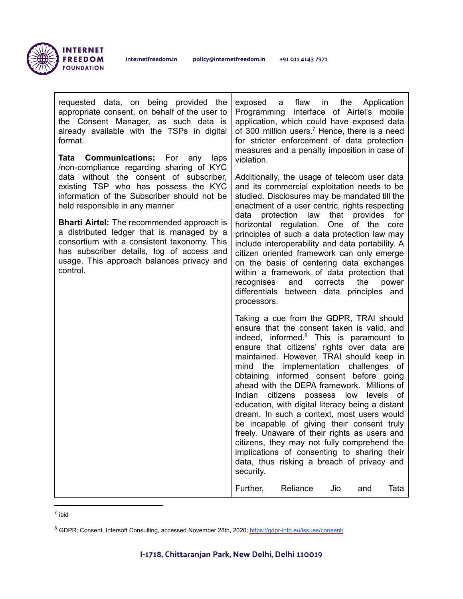

г

| requested data, on being provided the<br>appropriate consent, on behalf of the user to<br>the Consent Manager, as such data is<br>already available with the TSPs in digital<br>format.<br><b>Communications:</b> For<br>any<br>laps<br>Tata<br>/non-compliance regarding sharing of KYC<br>data without the consent of subscriber,<br>existing TSP who has possess the KYC<br>information of the Subscriber should not be<br>held responsible in any manner<br><b>Bharti Airtel:</b> The recommended approach is<br>a distributed ledger that is managed by a<br>consortium with a consistent taxonomy. This<br>has subscriber details, log of access and<br>usage. This approach balances privacy and<br>control. | flaw in the<br>exposed a<br>Application<br>Programming Interface of Airtel's mobile<br>application, which could have exposed data<br>of 300 million users. <sup>7</sup> Hence, there is a need<br>for stricter enforcement of data protection<br>measures and a penalty imposition in case of<br>violation.<br>Additionally, the usage of telecom user data<br>and its commercial exploitation needs to be                                                                                                                                                                                                                                                                                                                                                                           |
|---------------------------------------------------------------------------------------------------------------------------------------------------------------------------------------------------------------------------------------------------------------------------------------------------------------------------------------------------------------------------------------------------------------------------------------------------------------------------------------------------------------------------------------------------------------------------------------------------------------------------------------------------------------------------------------------------------------------|--------------------------------------------------------------------------------------------------------------------------------------------------------------------------------------------------------------------------------------------------------------------------------------------------------------------------------------------------------------------------------------------------------------------------------------------------------------------------------------------------------------------------------------------------------------------------------------------------------------------------------------------------------------------------------------------------------------------------------------------------------------------------------------|
|                                                                                                                                                                                                                                                                                                                                                                                                                                                                                                                                                                                                                                                                                                                     | studied. Disclosures may be mandated till the<br>enactment of a user centric, rights respecting<br>data<br>protection law<br>that provides<br>for<br>horizontal regulation. One of the core<br>principles of such a data protection law may<br>include interoperability and data portability. A<br>citizen oriented framework can only emerge<br>on the basis of centering data exchanges<br>within a framework of data protection that<br>corrects<br>the<br>recognises<br>and<br>power<br>differentials between data principles and<br>processors.                                                                                                                                                                                                                                 |
|                                                                                                                                                                                                                                                                                                                                                                                                                                                                                                                                                                                                                                                                                                                     | Taking a cue from the GDPR, TRAI should<br>ensure that the consent taken is valid, and<br>indeed, informed. <sup>8</sup> This is paramount to<br>ensure that citizens' rights over data are<br>maintained. However, TRAI should keep in<br>implementation challenges of<br>mind the<br>obtaining informed consent before going<br>ahead with the DEPA framework. Millions of<br>Indian citizens possess<br>low<br>levels of<br>education, with digital literacy being a distant<br>dream. In such a context, most users would<br>be incapable of giving their consent truly<br>freely. Unaware of their rights as users and<br>citizens, they may not fully comprehend the<br>implications of consenting to sharing their<br>data, thus risking a breach of privacy and<br>security. |
|                                                                                                                                                                                                                                                                                                                                                                                                                                                                                                                                                                                                                                                                                                                     | Further,<br>Reliance<br>Jio<br>Tata<br>and                                                                                                                                                                                                                                                                                                                                                                                                                                                                                                                                                                                                                                                                                                                                           |

7 ibid

<sup>&</sup>lt;sup>8</sup> GDPR: Consent, Intersoft Consulting, accessed November 28th, 2020; <https://gdpr-info.eu/issues/consent/>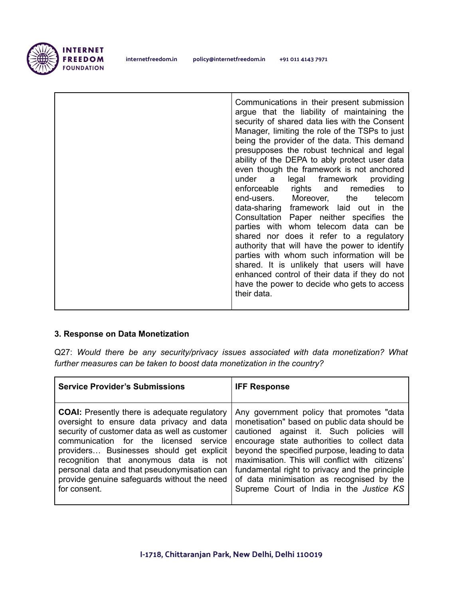

# **3. Response on Data Monetization**

Q27: *Would there be any security/privacy issues associated with data monetization? What further measures can be taken to boost data monetization in the country?*

| <b>Service Provider's Submissions</b>               | <b>IFF Response</b>                             |
|-----------------------------------------------------|-------------------------------------------------|
| <b>COAI:</b> Presently there is adequate regulatory | Any government policy that promotes "data       |
| oversight to ensure data privacy and data           | monetisation" based on public data should be    |
| security of customer data as well as customer       | cautioned against it. Such policies will        |
| communication for the licensed service              | encourage state authorities to collect data     |
| providers Businesses should get explicit            | beyond the specified purpose, leading to data   |
| recognition that anonymous data is not              | maximisation. This will conflict with citizens' |
| personal data and that pseudonymisation can         | fundamental right to privacy and the principle  |
| provide genuine safeguards without the need         | of data minimisation as recognised by the       |
| for consent.                                        | Supreme Court of India in the Justice KS        |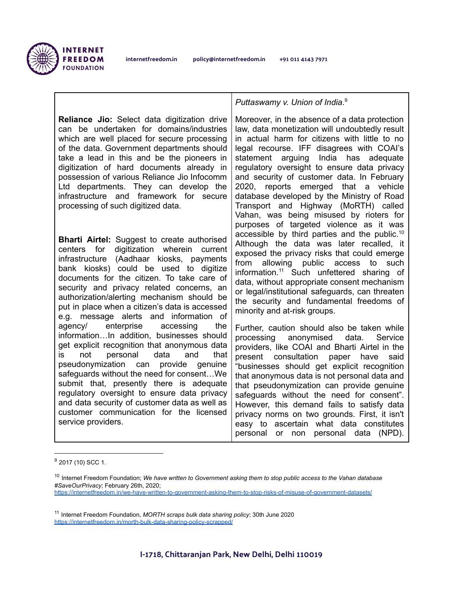

**Reliance Jio:** Select data digitization drive can be undertaken for domains/industries which are well placed for secure processing of the data. Government departments should take a lead in this and be the pioneers in digitization of hard documents already in possession of various Reliance Jio Infocomm Ltd departments. They can develop the infrastructure and framework for secure processing of such digitized data.

**Bharti Airtel:** Suggest to create authorised centers for digitization wherein current infrastructure (Aadhaar kiosks, payments bank kiosks) could be used to digitize documents for the citizen. To take care of security and privacy related concerns, an authorization/alerting mechanism should be put in place when a citizen's data is accessed e.g. message alerts and information of agency/ enterprise accessing the information…In addition, businesses should get explicit recognition that anonymous data is not personal data and that pseudonymization can provide genuine safeguards without the need for consent…We submit that, presently there is adequate regulatory oversight to ensure data privacy and data security of customer data as well as customer communication for the licensed service providers.

*Puttaswamy v. Union of India*. 9

Moreover, in the absence of a data protection law, data monetization will undoubtedly result in actual harm for citizens with little to no legal recourse. IFF disagrees with COAI's statement arguing India has adequate regulatory oversight to ensure data privacy and security of customer data. In February 2020, reports emerged that a vehicle database developed by the Ministry of Road Transport and Highway (MoRTH) called Vahan, was being misused by rioters for purposes of targeted violence as it was accessible by third parties and the public. 10 Although the data was later recalled, it exposed the privacy risks that could emerge from allowing public access to such information. <sup>11</sup> Such unfettered sharing of data, without appropriate consent mechanism or legal/institutional safeguards, can threaten the security and fundamental freedoms of minority and at-risk groups.

Further, caution should also be taken while processing anonymised data. Service providers, like COAI and Bharti Airtel in the present consultation paper have said "businesses should get explicit recognition that anonymous data is not personal data and that pseudonymization can provide genuine safeguards without the need for consent". However, this demand fails to satisfy data privacy norms on two grounds. First, it isn't easy to ascertain what data constitutes personal or non personal data (NPD).

 $9$  2017 (10) SCC 1.

<sup>10</sup> Internet Freedom Foundation; *We have written to Government asking them to stop public access to the Vahan database #SaveOurPrivacy*; February 26th, 2020;

<https://internetfreedom.in/we-have-written-to-government-asking-them-to-stop-risks-of-misuse-of-government-datasets/>

<sup>11</sup> Internet Freedom Foundation, *MORTH scraps bulk data sharing policy*; 30th June 2020 <https://internetfreedom.in/morth-bulk-data-sharing-policy-scrapped/>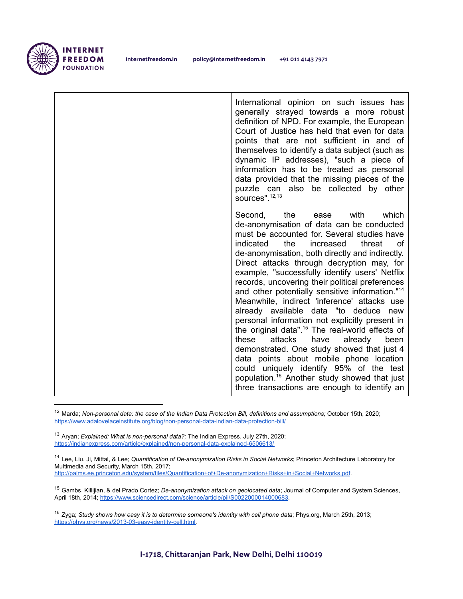

internetfreedom.in policy@internetfreedom.in +91 011 4143 7971

International opinion on such issues has generally strayed towards a more robust definition of NPD. For example, the European Court of Justice has held that even for data points that are not sufficient in and of themselves to identify a data subject (such as dynamic IP addresses), "such a piece of information has to be treated as personal data provided that the missing pieces of the puzzle can also be collected by other sources". 12,13 Second, the ease with which de-anonymisation of data can be conducted must be accounted for. Several studies have indicated the increased threat of de-anonymisation, both directly and indirectly. Direct attacks through decryption may, for example, "successfully identify users' Netflix records, uncovering their political preferences and other potentially sensitive information."<sup>14</sup> Meanwhile, indirect 'inference' attacks use already available data "to deduce new personal information not explicitly present in the original data". <sup>15</sup> The real-world effects of these attacks have already been demonstrated. One study showed that just 4 data points about mobile phone location could uniquely identify 95% of the test population. <sup>16</sup> Another study showed that just three transactions are enough to identify an

<sup>12</sup> Marda; *Non-personal data: the case of the Indian Data Protection Bill, definitions and assumptions;* October 15th, 2020; <https://www.adalovelaceinstitute.org/blog/non-personal-data-indian-data-protection-bill/>

<sup>13</sup> Aryan; *Explained: What is non-personal data?;* The Indian Express, July 27th, 2020; <https://indianexpress.com/article/explained/non-personal-data-explained-6506613/>

<sup>14</sup> Lee, Liu, Ji, Mittal, & Lee; *Quantification of De-anonymization Risks in Social Networks*; Princeton Architecture Laboratory for Multimedia and Security, March 15th, 2017; <http://palms.ee.princeton.edu/system/files/Quantification+of+De-anonymization+Risks+in+Social+Networks.pdf>.

<sup>15</sup> Gambs, Killijian, & del Prado Cortez; *De-anonymization attack on geolocated data*; Journal of Computer and System Sciences, April 18th, 2014; <https://www.sciencedirect.com/science/article/pii/S0022000014000683>.

<sup>16</sup> Zyga; *Study shows how easy it is to determine someone's identity with cell phone data*; Phys.org, March 25th, 2013; [https://phys.org/news/2013-03-easy-identity-cell.html.](https://phys.org/news/2013-03-easy-identity-cell.html)